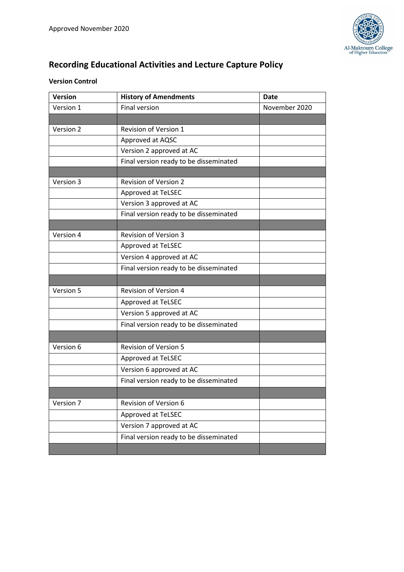

# **Recording Educational Activities and Lecture Capture Policy**

# **Version Control**

| <b>Version</b> | <b>History of Amendments</b>           | <b>Date</b>   |
|----------------|----------------------------------------|---------------|
| Version 1      | Final version                          | November 2020 |
|                |                                        |               |
| Version 2      | Revision of Version 1                  |               |
|                | Approved at AQSC                       |               |
|                | Version 2 approved at AC               |               |
|                | Final version ready to be disseminated |               |
|                |                                        |               |
| Version 3      | <b>Revision of Version 2</b>           |               |
|                | Approved at TeLSEC                     |               |
|                | Version 3 approved at AC               |               |
|                | Final version ready to be disseminated |               |
|                |                                        |               |
| Version 4      | <b>Revision of Version 3</b>           |               |
|                | Approved at TeLSEC                     |               |
|                | Version 4 approved at AC               |               |
|                | Final version ready to be disseminated |               |
|                |                                        |               |
| Version 5      | <b>Revision of Version 4</b>           |               |
|                | Approved at TeLSEC                     |               |
|                | Version 5 approved at AC               |               |
|                | Final version ready to be disseminated |               |
|                |                                        |               |
| Version 6      | <b>Revision of Version 5</b>           |               |
|                | Approved at TeLSEC                     |               |
|                | Version 6 approved at AC               |               |
|                | Final version ready to be disseminated |               |
|                |                                        |               |
| Version 7      | Revision of Version 6                  |               |
|                | Approved at TeLSEC                     |               |
|                | Version 7 approved at AC               |               |
|                | Final version ready to be disseminated |               |
|                |                                        |               |
|                |                                        |               |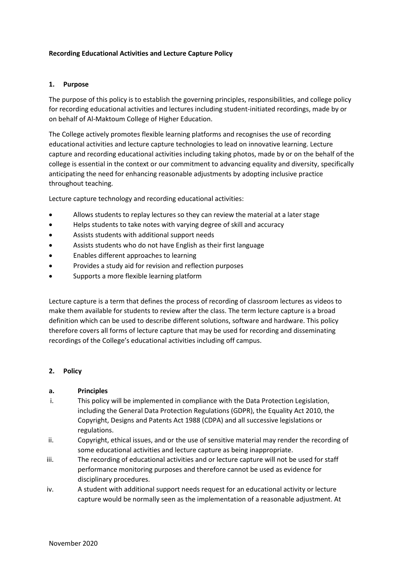#### **Recording Educational Activities and Lecture Capture Policy**

#### **1. Purpose**

The purpose of this policy is to establish the governing principles, responsibilities, and college policy for recording educational activities and lectures including student-initiated recordings, made by or on behalf of Al-Maktoum College of Higher Education.

The College actively promotes flexible learning platforms and recognises the use of recording educational activities and lecture capture technologies to lead on innovative learning. Lecture capture and recording educational activities including taking photos, made by or on the behalf of the college is essential in the context or our commitment to advancing equality and diversity, specifically anticipating the need for enhancing reasonable adjustments by adopting inclusive practice throughout teaching.

Lecture capture technology and recording educational activities:

- Allows students to replay lectures so they can review the material at a later stage
- Helps students to take notes with varying degree of skill and accuracy
- Assists students with additional support needs
- Assists students who do not have English as their first language
- Enables different approaches to learning
- Provides a study aid for revision and reflection purposes
- Supports a more flexible learning platform

Lecture capture is a term that defines the process of recording of classroom lectures as videos to make them available for students to review after the class. The term lecture capture is a broad definition which can be used to describe different solutions, software and hardware. This policy therefore covers all forms of lecture capture that may be used for recording and disseminating recordings of the College's educational activities including off campus.

#### **2. Policy**

#### **a. Principles**

- i. This policy will be implemented in compliance with the Data Protection Legislation, including the General Data Protection Regulations (GDPR), the Equality Act 2010, the Copyright, Designs and Patents Act 1988 (CDPA) and all successive legislations or regulations.
- ii. Copyright, ethical issues, and or the use of sensitive material may render the recording of some educational activities and lecture capture as being inappropriate.
- iii. The recording of educational activities and or lecture capture will not be used for staff performance monitoring purposes and therefore cannot be used as evidence for disciplinary procedures.
- iv. A student with additional support needs request for an educational activity or lecture capture would be normally seen as the implementation of a reasonable adjustment. At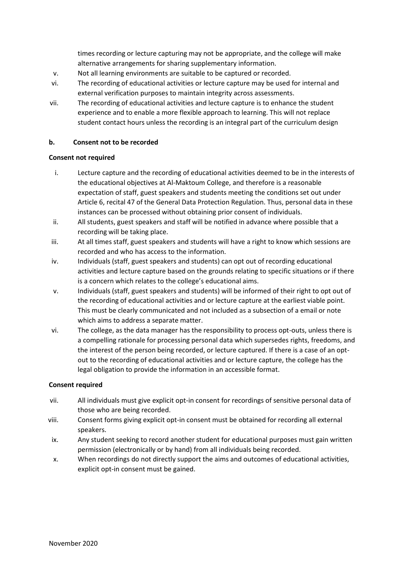times recording or lecture capturing may not be appropriate, and the college will make alternative arrangements for sharing supplementary information.

- v. Not all learning environments are suitable to be captured or recorded.
- vi. The recording of educational activities or lecture capture may be used for internal and external verification purposes to maintain integrity across assessments.
- vii. The recording of educational activities and lecture capture is to enhance the student experience and to enable a more flexible approach to learning. This will not replace student contact hours unless the recording is an integral part of the curriculum design

### **b. Consent not to be recorded**

#### **Consent not required**

- i. Lecture capture and the recording of educational activities deemed to be in the interests of the educational objectives at Al-Maktoum College, and therefore is a reasonable expectation of staff, guest speakers and students meeting the conditions set out under Article 6, recital 47 of the General Data Protection Regulation. Thus, personal data in these instances can be processed without obtaining prior consent of individuals.
- ii. All students, guest speakers and staff will be notified in advance where possible that a recording will be taking place.
- iii. At all times staff, guest speakers and students will have a right to know which sessions are recorded and who has access to the information.
- iv. Individuals (staff, guest speakers and students) can opt out of recording educational activities and lecture capture based on the grounds relating to specific situations or if there is a concern which relates to the college's educational aims.
- v. Individuals (staff, guest speakers and students) will be informed of their right to opt out of the recording of educational activities and or lecture capture at the earliest viable point. This must be clearly communicated and not included as a subsection of a email or note which aims to address a separate matter.
- vi. The college, as the data manager has the responsibility to process opt-outs, unless there is a compelling rationale for processing personal data which supersedes rights, freedoms, and the interest of the person being recorded, or lecture captured. If there is a case of an optout to the recording of educational activities and or lecture capture, the college has the legal obligation to provide the information in an accessible format.

## **Consent required**

- vii. All individuals must give explicit opt-in consent for recordings of sensitive personal data of those who are being recorded.
- viii. Consent forms giving explicit opt-in consent must be obtained for recording all external speakers.
- ix. Any student seeking to record another student for educational purposes must gain written permission (electronically or by hand) from all individuals being recorded.
- x. When recordings do not directly support the aims and outcomes of educational activities, explicit opt-in consent must be gained.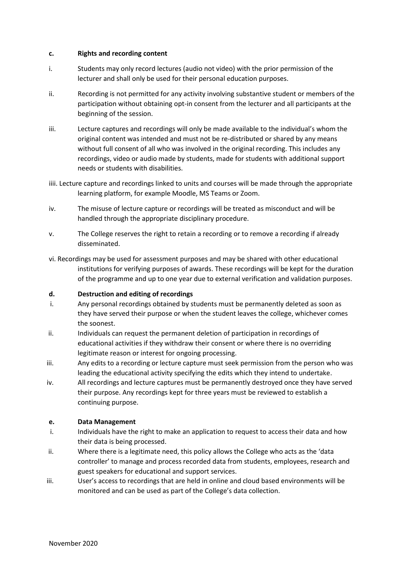#### **c. Rights and recording content**

- i. Students may only record lectures (audio not video) with the prior permission of the lecturer and shall only be used for their personal education purposes.
- ii. Recording is not permitted for any activity involving substantive student or members of the participation without obtaining opt-in consent from the lecturer and all participants at the beginning of the session.
- iii. Lecture captures and recordings will only be made available to the individual's whom the original content was intended and must not be re-distributed or shared by any means without full consent of all who was involved in the original recording. This includes any recordings, video or audio made by students, made for students with additional support needs or students with disabilities.
- iiii. Lecture capture and recordings linked to units and courses will be made through the appropriate learning platform, for example Moodle, MS Teams or Zoom.
- iv. The misuse of lecture capture or recordings will be treated as misconduct and will be handled through the appropriate disciplinary procedure.
- v. The College reserves the right to retain a recording or to remove a recording if already disseminated.
- vi. Recordings may be used for assessment purposes and may be shared with other educational institutions for verifying purposes of awards. These recordings will be kept for the duration of the programme and up to one year due to external verification and validation purposes.

#### **d. Destruction and editing of recordings**

- i. Any personal recordings obtained by students must be permanently deleted as soon as they have served their purpose or when the student leaves the college, whichever comes the soonest.
- ii. Individuals can request the permanent deletion of participation in recordings of educational activities if they withdraw their consent or where there is no overriding legitimate reason or interest for ongoing processing.
- iii. Any edits to a recording or lecture capture must seek permission from the person who was leading the educational activity specifying the edits which they intend to undertake.
- iv. All recordings and lecture captures must be permanently destroyed once they have served their purpose. Any recordings kept for three years must be reviewed to establish a continuing purpose.

#### **e. Data Management**

- i. Individuals have the right to make an application to request to access their data and how their data is being processed.
- ii. Where there is a legitimate need, this policy allows the College who acts as the 'data controller' to manage and process recorded data from students, employees, research and guest speakers for educational and support services.
- iii. User's access to recordings that are held in online and cloud based environments will be monitored and can be used as part of the College's data collection.